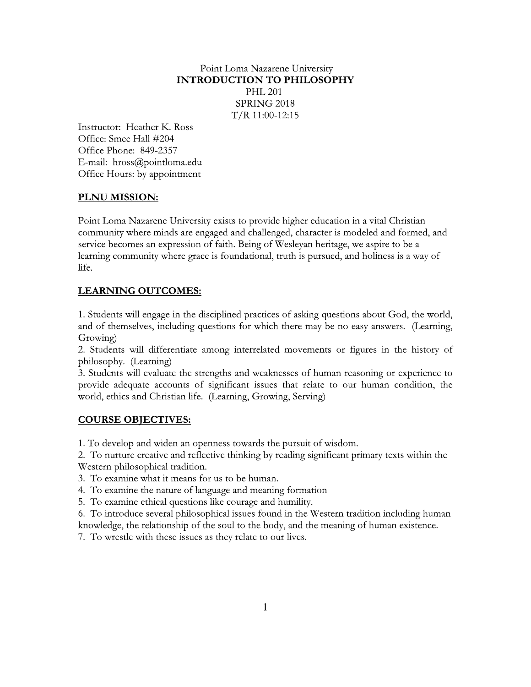# Point Loma Nazarene University **INTRODUCTION TO PHILOSOPHY PHL 201** SPRING 2018  $T/R$  11:00-12:15

Instructor: Heather K. Ross Office: Smee Hall #204 Office Phone: 849-2357 E-mail: hross@pointloma.edu Office Hours: by appointment

# PLNU MISSION:

Point Loma Nazarene University exists to provide higher education in a vital Christian community where minds are engaged and challenged, character is modeled and formed, and service becomes an expression of faith. Being of Wesleyan heritage, we aspire to be a learning community where grace is foundational, truth is pursued, and holiness is a way of life.

# **LEARNING OUTCOMES:**

1. Students will engage in the disciplined practices of asking questions about God, the world, and of themselves, including questions for which there may be no easy answers. (Learning, Growing)

2. Students will differentiate among interrelated movements or figures in the history of philosophy. (Learning)

3. Students will evaluate the strengths and weaknesses of human reasoning or experience to provide adequate accounts of significant issues that relate to our human condition, the world, ethics and Christian life. (Learning, Growing, Serving)

# **COURSE OBJECTIVES:**

1. To develop and widen an openness towards the pursuit of wisdom.

2. To nurture creative and reflective thinking by reading significant primary texts within the Western philosophical tradition.

- 3. To examine what it means for us to be human.
- 4. To examine the nature of language and meaning formation
- 5. To examine ethical questions like courage and humility.

6. To introduce several philosophical issues found in the Western tradition including human knowledge, the relationship of the soul to the body, and the meaning of human existence.

7. To wrestle with these issues as they relate to our lives.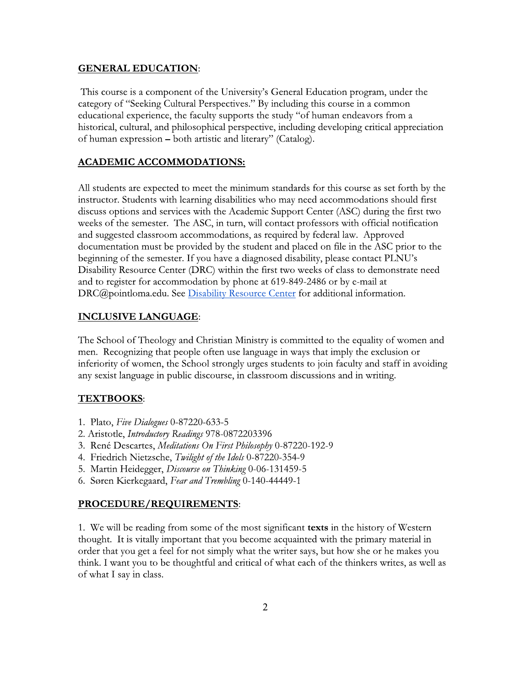### **GENERAL EDUCATION:**

This course is a component of the University's General Education program, under the category of "Seeking Cultural Perspectives." By including this course in a common educational experience, the faculty supports the study "of human endeavors from a historical, cultural, and philosophical perspective, including developing critical appreciation of human expression – both artistic and literary" (Catalog).

## **ACADEMIC ACCOMMODATIONS:**

All students are expected to meet the minimum standards for this course as set forth by the instructor. Students with learning disabilities who may need accommodations should first discuss options and services with the Academic Support Center (ASC) during the first two weeks of the semester. The ASC, in turn, will contact professors with official notification and suggested classroom accommodations, as required by federal law. Approved documentation must be provided by the student and placed on file in the ASC prior to the beginning of the semester. If you have a diagnosed disability, please contact PLNU's Disability Resource Center (DRC) within the first two weeks of class to demonstrate need and to register for accommodation by phone at 619-849-2486 or by e-mail at DRC@pointloma.edu. See Disability Resource Center for additional information.

### **INCLUSIVE LANGUAGE:**

The School of Theology and Christian Ministry is committed to the equality of women and men. Recognizing that people often use language in ways that imply the exclusion or inferiority of women, the School strongly urges students to join faculty and staff in avoiding any sexist language in public discourse, in classroom discussions and in writing.

### **TEXTBOOKS:**

- 1. Plato, Five Dialogues 0-87220-633-5
- 2. Aristotle, Introductory Readings 978-0872203396
- 3. René Descartes, Meditations On First Philosophy 0-87220-192-9
- 4. Friedrich Nietzsche, Twilight of the Idols 0-87220-354-9
- 5. Martin Heidegger, Discourse on Thinking 0-06-131459-5
- 6. Søren Kierkegaard, Fear and Trembling 0-140-44449-1

### PROCEDURE/REQUIREMENTS:

1. We will be reading from some of the most significant **texts** in the history of Western thought. It is vitally important that you become acquainted with the primary material in order that you get a feel for not simply what the writer says, but how she or he makes you think. I want you to be thoughtful and critical of what each of the thinkers writes, as well as of what I say in class.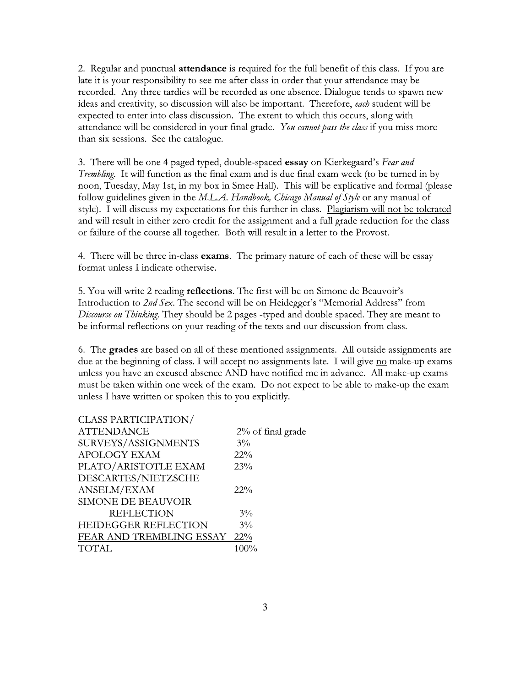2. Regular and punctual attendance is required for the full benefit of this class. If you are late it is your responsibility to see me after class in order that your attendance may be recorded. Any three tardies will be recorded as one absence. Dialogue tends to spawn new ideas and creativity, so discussion will also be important. Therefore, each student will be expected to enter into class discussion. The extent to which this occurs, along with attendance will be considered in your final grade. You cannot pass the class if you miss more than six sessions. See the catalogue.

3. There will be one 4 paged typed, double-spaced essay on Kierkegaard's Fear and Trembling. It will function as the final exam and is due final exam week (to be turned in by noon, Tuesday, May 1st, in my box in Smee Hall). This will be explicative and formal (please follow guidelines given in the M.L.A. Handbook, Chicago Manual of Style or any manual of style). I will discuss my expectations for this further in class. Plagiarism will not be tolerated and will result in either zero credit for the assignment and a full grade reduction for the class or failure of the course all together. Both will result in a letter to the Provost.

4. There will be three in-class exams. The primary nature of each of these will be essay format unless I indicate otherwise.

5. You will write 2 reading reflections. The first will be on Simone de Beauvoir's Introduction to 2nd Sex. The second will be on Heidegger's "Memorial Address" from Discourse on Thinking. They should be 2 pages -typed and double spaced. They are meant to be informal reflections on your reading of the texts and our discussion from class.

6. The grades are based on all of these mentioned assignments. All outside assignments are due at the beginning of class. I will accept no assignments late. I will give no make-up exams unless you have an excused absence AND have notified me in advance. All make-up exams must be taken within one week of the exam. Do not expect to be able to make-up the exam unless I have written or spoken this to you explicitly.

| <b>CLASS PARTICIPATION/</b> |                      |
|-----------------------------|----------------------|
| <b>ATTENDANCE</b>           | $2\%$ of final grade |
| SURVEYS/ASSIGNMENTS         | $3\%$                |
| <b>APOLOGY EXAM</b>         | 22%                  |
| PLATO/ARISTOTLE EXAM        | 23%                  |
| DESCARTES/NIETZSCHE         |                      |
| ANSELM/EXAM                 | $22\%$               |
| <b>SIMONE DE BEAUVOIR</b>   |                      |
| <b>REFLECTION</b>           | $3\%$                |
| <b>HEIDEGGER REFLECTION</b> | $3\%$                |
| FEAR AND TREMBLING ESSAY    | 22%                  |
| <b>TOTAL</b>                | 100%                 |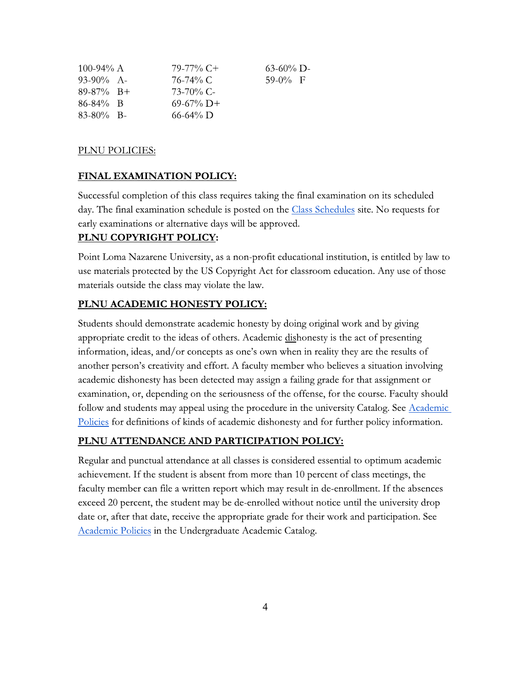| 100-94% $A$                      |                        | $79-77\%$ C+                                                  | $63-60\%$ D- |  |
|----------------------------------|------------------------|---------------------------------------------------------------|--------------|--|
| 93-90% A-                        |                        | 76-74% C                                                      | 59-0% F      |  |
| 89-87% B+                        |                        | 73-70% C-                                                     |              |  |
| 86-84% B                         |                        | $69-67\%$ D+                                                  |              |  |
| 83-80% B-                        |                        | $66 - 64\%$ D                                                 |              |  |
|                                  |                        |                                                               |              |  |
| PLNU POLICIES:                   |                        |                                                               |              |  |
| <b>FINAL EXAMINATION POLICY:</b> |                        |                                                               |              |  |
|                                  |                        | Successful completion of this class requires taking the final |              |  |
|                                  |                        | day. The final examination schedule is posted on the Class S  |              |  |
|                                  |                        | early examinations or alternative days will be approved.      |              |  |
|                                  | PLNU COPYRIGHT POLICY: |                                                               |              |  |
|                                  |                        |                                                               |              |  |
|                                  |                        | Point Loma Nazarene University, as a non-profit education     |              |  |
|                                  |                        | use materials protected by the US Copyright Act for classro   |              |  |
|                                  |                        |                                                               |              |  |

### PLNU POLICIES:

Successful completion of this class requires taking the final examination on its scheduled day. The final examination schedule is posted on the **Class Schedules** site. No requests for early examinations or alternative days will be approved. PLNU POLICIES:<br>
FINAL EXAMINATION POLICY:<br>
Successful completion of this class requires taking<br>
day. The final examination schedule is posted on t<br>
early examinations or alternative days will be appro<br>
PLNU COPYRIGHT POLIC

Point Loma Nazarene University, as a non-profit educational institution, is entitled by law to use materials protected by the US Copyright Act for classroom education. Any use of those materials outside the class may violate the law.

day. The final examination schedule is posted on the Class Sch<br>early examinations or alternative days will be approved.<br> **PLNU COPYRIGHT POLICY:**<br>
Point Loma Nazarene University, as a non-profit educational i<br>
use material Students should demonstrate academic honesty by doing original work and by giving appropriate credit to the ideas of others. Academic dishonesty is the act of presenting information, ideas, and/or concepts as one's own when in reality they are the results of another person's creativity and effort. A faculty member who believes a situation involving academic dishonesty has been detected may assign a failing grade for that assignment or examination, or, depending on the seriousness of the offense, for the course. Faculty should follow and students may appeal using the procedure in the university Catalog. See Academic Policies for definitions of kinds of academic dishonesty and for further policy information. information, ideas, and/or concepts as one's own when in reality they are the result information, ideas, and/or concepts as one's own when in reality they are the result and effort. A faculty member who believes a situati

Regular and punctual attendance at all classes is considered essential to optimum academic achievement. It the student is absent from more than 10 percent of class meetings, the faculty member can file a written report which may result in de-enrollment. If the absences exceed 20 percent, the student may be de-enrolled without notice until the university drop date or, after that date, receive the appropriate grade for their work and participation. See Academic Policies in the Undergraduate Academic Catalog.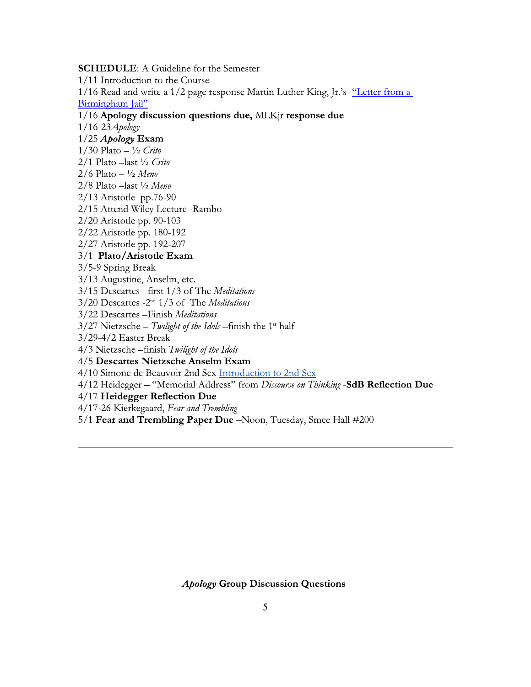**SCHEDULE:** A Guideline for the Semester

1/11 Introduction to the Course

1/16 Read and write a 1/2 page response Martin Luther King, Jr.'s "Letter from a Birmingham Jail"

1/16 Apology discussion questions due, MLKjr response due

 $1/16 - 23$  Apology

 $1/25$  Apology Exam

 $1/30$  Plato  $- \frac{1}{2}$  Crito

2/1 Plato -last 1/2 Crito

 $2/6$  Plato  $- \frac{1}{2}$  Meno

2/8 Plato -last 1/2 Meno

 $2/13$  Aristotle pp.76-90

2/15 Attend Wiley Lecture - Rambo

2/20 Aristotle pp. 90-103

2/22 Aristotle pp. 180-192

2/27 Aristotle pp. 192-207

3/1 Plato/Aristotle Exam

3/5-9 Spring Break

3/13 Augustine, Anselm, etc.

3/15 Descartes -first 1/3 of The Meditations

3/20 Descartes -2<sup>nd</sup> 1/3 of The Meditations

3/22 Descartes - Finish Meditations

 $3/27$  Nietzsche – Twilight of the Idols – finish the 1<sup>st</sup> half

 $3/29-4/2$  Easter Break

4/3 Nietzsche-finish Twilight of the Idols

## 4/5 Descartes Nietzsche Anselm Exam

4/10 Simone de Beauvoir 2nd Sex Introduction to 2nd Sex

4/12 Heidegger - "Memorial Address" from Discourse on Thinking -SdB Reflection Due

4/17 Heidegger Reflection Due

4/17-26 Kierkegaard, Fear and Trembling

5/1 Fear and Trembling Paper Due -Noon, Tuesday, Smee Hall #200

**Apology Group Discussion Questions**